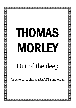## THOMAS MORLEY

**NNNNNNNNNNNNNNNNNNNNNNNNNN** 

## Out of the deep

for Alto solo, chorus (SAATB) and organ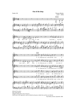## **Out of the deep**

Psalm 130

Thomas Morley  $(1557 - 1603)$ 







*Editorial Procedure* Note values halved.

Original written pitch: minor 3rd lower.

Small notes in the organ part, small accidentals and pauses, dashed slurs and ties are editorial.

*Paul Walton, Bristol, September 2006*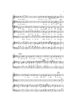



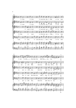



4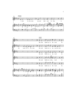

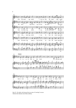





Bars 55 - 56, treble: slur between first two notes of 'morning' in source. Editorial slur indicates more likely underlay.

6